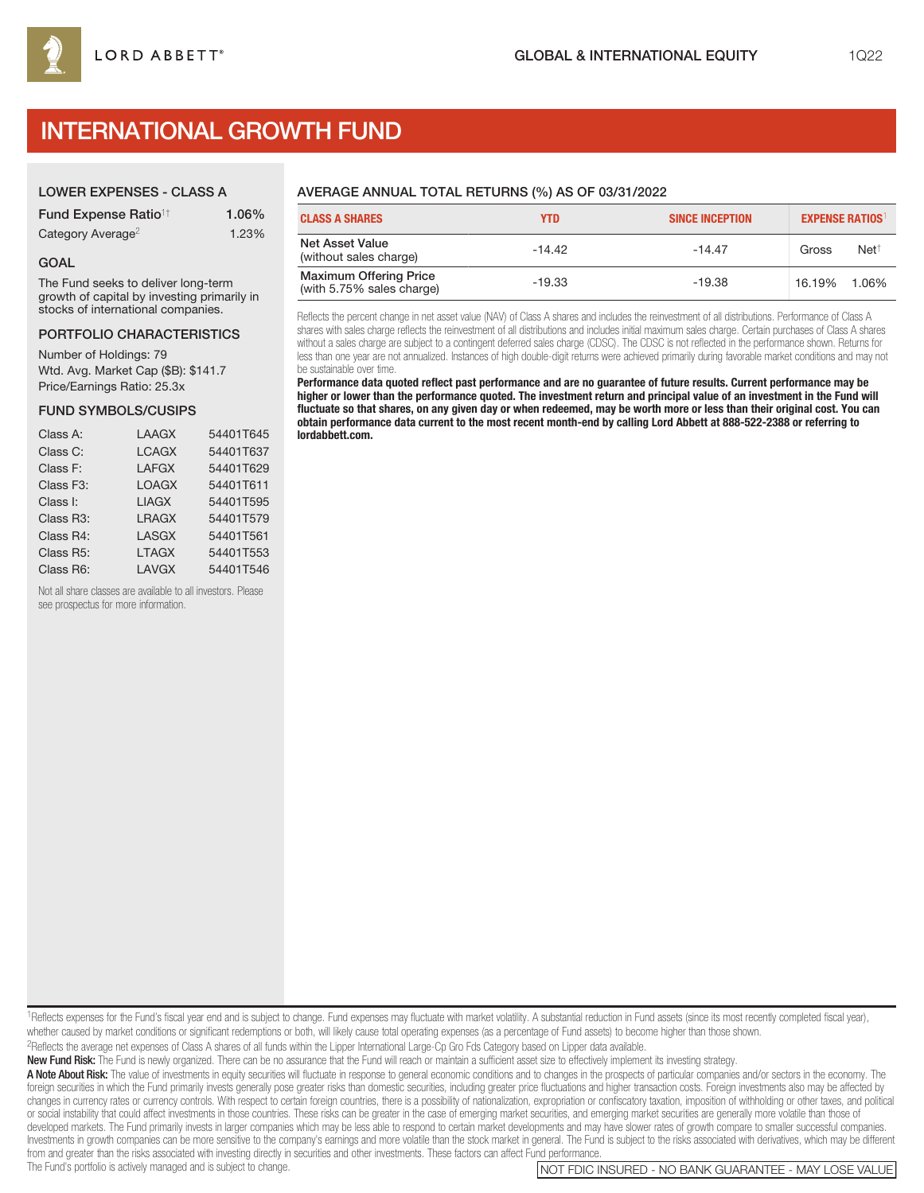# INTERNATIONAL GROWTH FUND

## LOWER EXPENSES - CLASS A

| <b>Fund Expense Ratio<sup>1†</sup></b> | 1.06% |
|----------------------------------------|-------|
| Category Average <sup>2</sup>          | 1.23% |

### GOAL

The Fund seeks to deliver long-term growth of capital by investing primarily in stocks of international companies.

#### PORTFOLIO CHARACTERISTICS

Number of Holdings: 79 Wtd. Avg. Market Cap (\$B): \$141.7 Price/Earnings Ratio: 25.3x

#### FUND SYMBOLS/CUSIPS

| Class A:  | LAAGX        | 54401T645 |
|-----------|--------------|-----------|
| Class C:  | <b>LCAGX</b> | 54401T637 |
| Class F:  | <b>LAFGX</b> | 54401T629 |
| Class F3: | <b>LOAGX</b> | 54401T611 |
| Class I:  | <b>LIAGX</b> | 54401T595 |
| Class R3: | <b>LRAGX</b> | 54401T579 |
| Class R4: | <b>LASGX</b> | 54401T561 |
| Class R5: | <b>LTAGX</b> | 54401T553 |
| Class R6: | <b>LAVGX</b> | 54401T546 |
|           |              |           |

Not all share classes are available to all investors. Please see prospectus for more information.

# AVERAGE ANNUAL TOTAL RETURNS (%) AS OF 03/31/2022

| <b>CLASS A SHARES</b>                                      | <b>YTD</b> | <b>SINCE INCEPTION</b> | <b>EXPENSE RATIOS</b> |                 |
|------------------------------------------------------------|------------|------------------------|-----------------------|-----------------|
| <b>Net Asset Value</b><br>(without sales charge)           | $-14.42$   | $-14.47$               | Gross                 | $Net^{\dagger}$ |
| <b>Maximum Offering Price</b><br>(with 5.75% sales charge) | -19.33     | $-19.38$               | 16.19%                | 1.06%           |

Reflects the percent change in net asset value (NAV) of Class A shares and includes the reinvestment of all distributions. Performance of Class A shares with sales charge reflects the reinvestment of all distributions and includes initial maximum sales charge. Certain purchases of Class A shares without a sales charge are subject to a contingent deferred sales charge (CDSC). The CDSC is not reflected in the performance shown. Returns for less than one year are not annualized. Instances of high double-digit returns were achieved primarily during favorable market conditions and may not be sustainable over time.

**Performance data quoted reflect past performance and are no guarantee of future results. Current performance may be higher or lower than the performance quoted. The investment return and principal value of an investment in the Fund will fluctuate so that shares, on any given day or when redeemed, may be worth more or less than their original cost. You can obtain performance data current to the most recent month-end by calling Lord Abbett at 888-522-2388 or referring to lordabbett.com.**

1Reflects expenses for the Fund's fiscal year end and is subject to change. Fund expenses may fluctuate with market volatility. A substantial reduction in Fund assets (since its most recently completed fiscal year), whether caused by market conditions or significant redemptions or both, will likely cause total operating expenses (as a percentage of Fund assets) to become higher than those shown.

2Reflects the average net expenses of Class A shares of all funds within the Lipper International Large-Cp Gro Fds Category based on Lipper data available.

New Fund Risk: The Fund is newly organized. There can be no assurance that the Fund will reach or maintain a sufficient asset size to effectively implement its investing strategy.

A Note About Risk: The value of investments in equity securities will fluctuate in response to general economic conditions and to changes in the prospects of particular companies and/or sectors in the economy. The foreign securities in which the Fund primarily invests generally pose greater risks than domestic securities, including greater price fluctuations and higher transaction costs. Foreign investments also may be affected by changes in currency rates or currency controls. With respect to certain foreign countries, there is a possibility of nationalization, expropriation or confiscatory taxation, imposition of withholding or other taxes, and po or social instability that could affect investments in those countries. These risks can be greater in the case of emerging market securities, and emerging market securities are generally more volatile than those of developed markets. The Fund primarily invests in larger companies which may be less able to respond to certain market developments and may have slower rates of growth compare to smaller successful companies. Investments in growth companies can be more sensitive to the company's earnings and more volatile than the stock market in general. The Fund is subject to the risks associated with derivatives, which may be different from and greater than the risks associated with investing directly in securities and other investments. These factors can affect Fund performance.<br>The Fund's portfolio is actively managed and is subject to change.